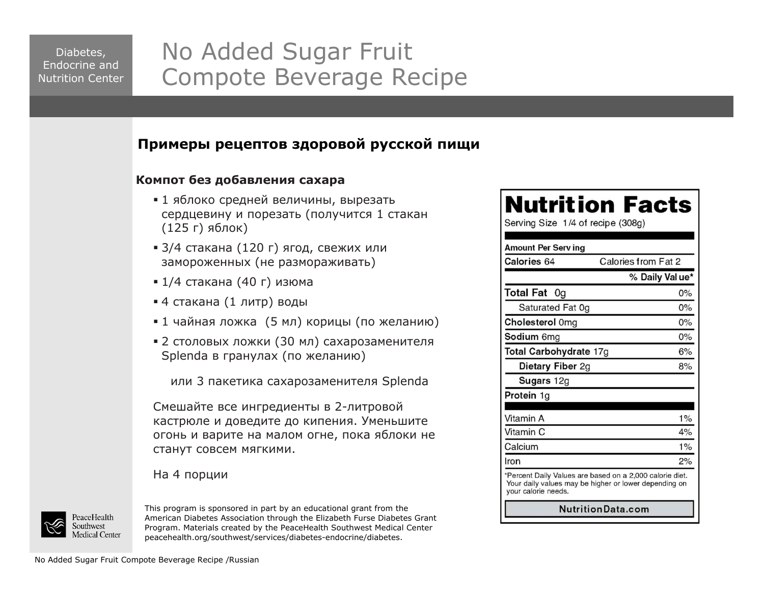## No Added Sugar Fruit Compote Beverage Recipe

#### **Примеры рецептов здоровой русской пищи**

#### **Компот без добавления сахара**

- 1 яблоко средней величины, вырезать сердцевину и порезать (получится 1 стакан (125 г) яблок)
- 3/4 стакана (120 г) ягод, свежих или замороженных (не размораживать)
- 1/4 стакана (40 г) изюма
- 4 стакана (1 литр) воды
- 1 чайная ложка (5 мл) корицы (по желанию)
- 2 столовых ложки (30 мл) сахарозаменителя Splenda в гранулах (по желанию)

или 3 пакетика сахарозаменителя Splenda

Смешайте все ингредиенты в 2-литровой кастрюле и доведите до кипения. Уменьшите огонь и варите на малом огне, пока яблоки не станут совсем мягкими.

#### На 4 порции



This program is sponsored in part by an educational grant from the American Diabetes Association through the Elizabeth Furse Diabetes Grant Program. Materials created by the PeaceHealth Southwest Medical Center peacehealth.org/southwest/services/diabetes-endocrine/diabetes.

## **Nutrition Facts**

Serving Size 1/4 of recipe (308g)

| Amount Per Serv ing    |                                                                                                                   |
|------------------------|-------------------------------------------------------------------------------------------------------------------|
| Calories 64            | Calories from Fat 2                                                                                               |
|                        | % Daily Val ue*                                                                                                   |
| <b>Total Fat 0g</b>    | $0\%$                                                                                                             |
| Saturated Fat 0g       | $0\%$                                                                                                             |
| Cholesterol 0mg        | 0%                                                                                                                |
| <b>Sodium</b> 6mg      | $0\%$                                                                                                             |
| Total Carbohydrate 17g | 6%                                                                                                                |
| Dietary Fiber 2g       | 8%                                                                                                                |
| <b>Sugars</b> 12g      |                                                                                                                   |
| <b>Protein</b> 1g      |                                                                                                                   |
| Vitamin A              | 1%                                                                                                                |
| Vitamin C              | 4%                                                                                                                |
| Calcium                | $1\%$                                                                                                             |
| Iron                   | 2%                                                                                                                |
| your calorie needs.    | *Percent Daily Values are based on a 2,000 calorie diet.<br>Your daily values may be higher or lower depending on |
|                        | NutritionData.com                                                                                                 |